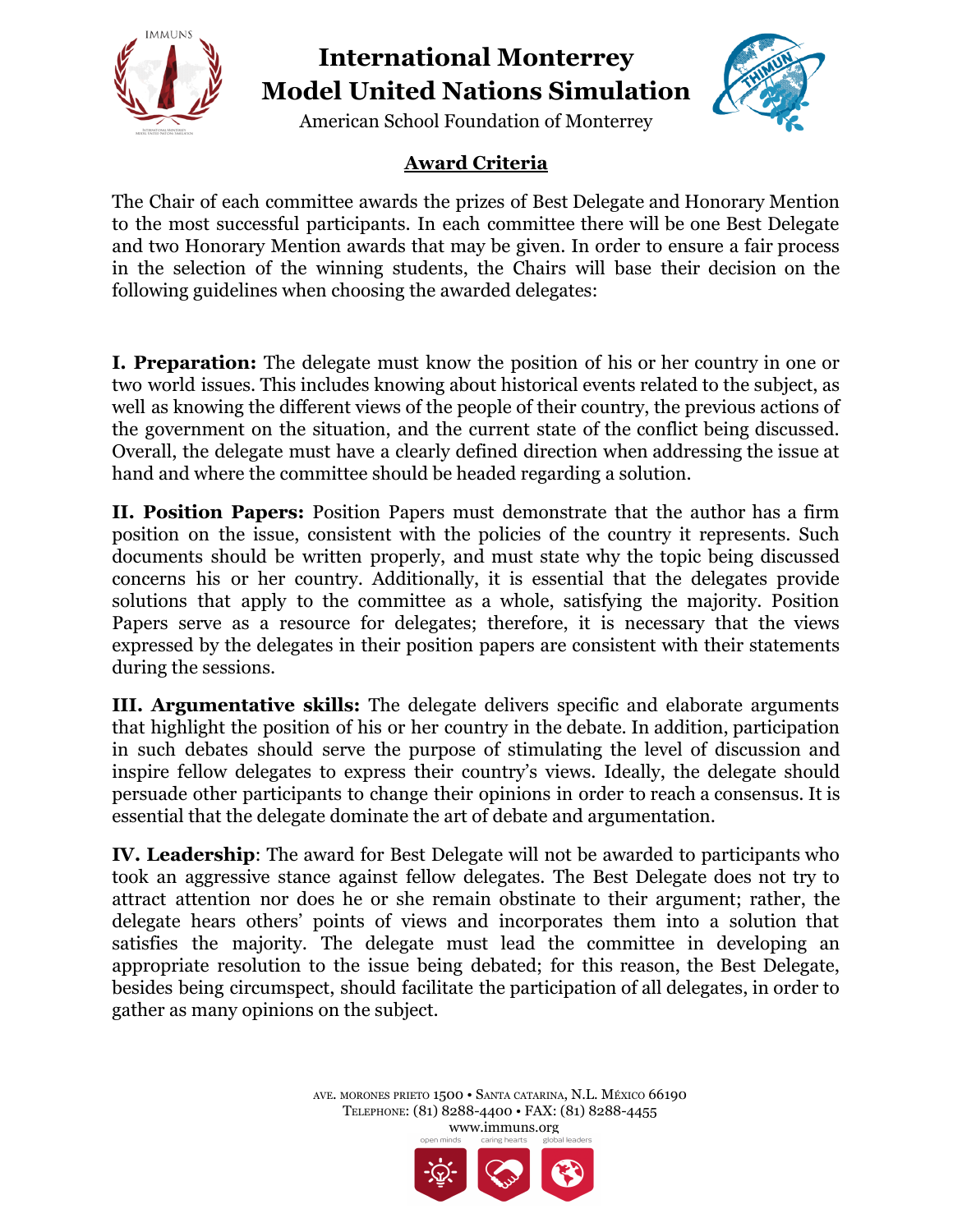

## **International Monterrey Model United Nations Simulation**



American School Foundation of Monterrey

## **Award Criteria**

The Chair of each committee awards the prizes of Best Delegate and Honorary Mention to the most successful participants. In each committee there will be one Best Delegate and two Honorary Mention awards that may be given. In order to ensure a fair process in the selection of the winning students, the Chairs will base their decision on the following guidelines when choosing the awarded delegates:

**I. Preparation:** The delegate must know the position of his or her country in one or two world issues. This includes knowing about historical events related to the subject, as well as knowing the different views of the people of their country, the previous actions of the government on the situation, and the current state of the conflict being discussed. Overall, the delegate must have a clearly defined direction when addressing the issue at hand and where the committee should be headed regarding a solution.

**II. Position Papers:** Position Papers must demonstrate that the author has a firm position on the issue, consistent with the policies of the country it represents. Such documents should be written properly, and must state why the topic being discussed concerns his or her country. Additionally, it is essential that the delegates provide solutions that apply to the committee as a whole, satisfying the majority. Position Papers serve as a resource for delegates; therefore, it is necessary that the views expressed by the delegates in their position papers are consistent with their statements during the sessions.

**III. Argumentative skills:** The delegate delivers specific and elaborate arguments that highlight the position of his or her country in the debate. In addition, participation in such debates should serve the purpose of stimulating the level of discussion and inspire fellow delegates to express their country's views. Ideally, the delegate should persuade other participants to change their opinions in order to reach a consensus. It is essential that the delegate dominate the art of debate and argumentation.

**IV. Leadership**: The award for Best Delegate will not be awarded to participants who took an aggressive stance against fellow delegates. The Best Delegate does not try to attract attention nor does he or she remain obstinate to their argument; rather, the delegate hears others' points of views and incorporates them into a solution that satisfies the majority. The delegate must lead the committee in developing an appropriate resolution to the issue being debated; for this reason, the Best Delegate, besides being circumspect, should facilitate the participation of all delegates, in order to gather as many opinions on the subject.

> AVE. MORONES PRIETO 1500 • SANTA CATARINA, N.L. MÉXICO 66190 TELEPHONE: (81) 8288-4400 • FAX: (81) 8288-4455 www.immuns.org